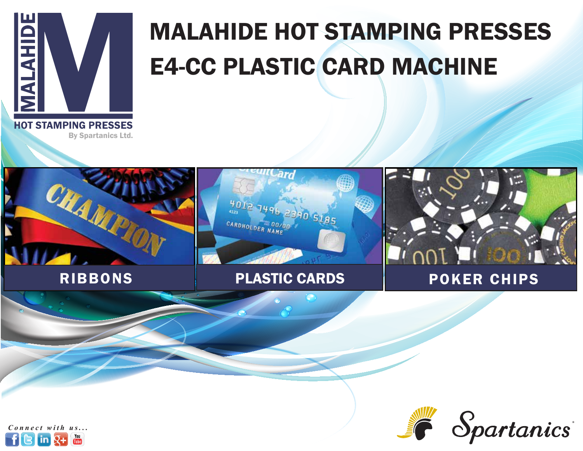

# MALAHIDE HOT STAMPING PRESSES E4-CC PLASTIC CARD MACHINE

**HOT STAMPING PRESSES** By Spartanics Ltd.